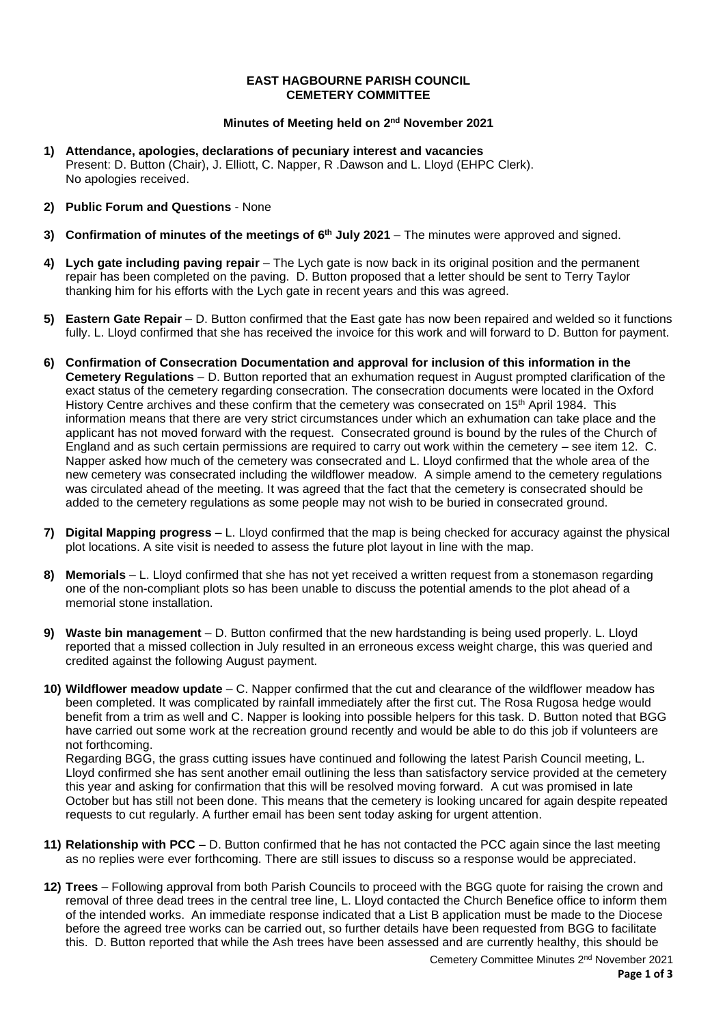## **EAST HAGBOURNE PARISH COUNCIL CEMETERY COMMITTEE**

## **Minutes of Meeting held on 2 nd November 2021**

- **1) Attendance, apologies, declarations of pecuniary interest and vacancies** Present: D. Button (Chair), J. Elliott, C. Napper, R .Dawson and L. Lloyd (EHPC Clerk). No apologies received.
- **2) Public Forum and Questions** None
- **3) Confirmation of minutes of the meetings of 6 th July 2021** The minutes were approved and signed.
- **4) Lych gate including paving repair** The Lych gate is now back in its original position and the permanent repair has been completed on the paving. D. Button proposed that a letter should be sent to Terry Taylor thanking him for his efforts with the Lych gate in recent years and this was agreed.
- **5) Eastern Gate Repair** D. Button confirmed that the East gate has now been repaired and welded so it functions fully. L. Lloyd confirmed that she has received the invoice for this work and will forward to D. Button for payment.
- **6) Confirmation of Consecration Documentation and approval for inclusion of this information in the Cemetery Regulations** – D. Button reported that an exhumation request in August prompted clarification of the exact status of the cemetery regarding consecration. The consecration documents were located in the Oxford History Centre archives and these confirm that the cemetery was consecrated on 15<sup>th</sup> April 1984. This information means that there are very strict circumstances under which an exhumation can take place and the applicant has not moved forward with the request. Consecrated ground is bound by the rules of the Church of England and as such certain permissions are required to carry out work within the cemetery – see item 12. C. Napper asked how much of the cemetery was consecrated and L. Lloyd confirmed that the whole area of the new cemetery was consecrated including the wildflower meadow. A simple amend to the cemetery regulations was circulated ahead of the meeting. It was agreed that the fact that the cemetery is consecrated should be added to the cemetery regulations as some people may not wish to be buried in consecrated ground.
- **7) Digital Mapping progress** L. Lloyd confirmed that the map is being checked for accuracy against the physical plot locations. A site visit is needed to assess the future plot layout in line with the map.
- **8) Memorials** L. Lloyd confirmed that she has not yet received a written request from a stonemason regarding one of the non-compliant plots so has been unable to discuss the potential amends to the plot ahead of a memorial stone installation.
- **9) Waste bin management** D. Button confirmed that the new hardstanding is being used properly. L. Lloyd reported that a missed collection in July resulted in an erroneous excess weight charge, this was queried and credited against the following August payment.
- **10) Wildflower meadow update** C. Napper confirmed that the cut and clearance of the wildflower meadow has been completed. It was complicated by rainfall immediately after the first cut. The Rosa Rugosa hedge would benefit from a trim as well and C. Napper is looking into possible helpers for this task. D. Button noted that BGG have carried out some work at the recreation ground recently and would be able to do this job if volunteers are not forthcoming.

Regarding BGG, the grass cutting issues have continued and following the latest Parish Council meeting, L. Lloyd confirmed she has sent another email outlining the less than satisfactory service provided at the cemetery this year and asking for confirmation that this will be resolved moving forward. A cut was promised in late October but has still not been done. This means that the cemetery is looking uncared for again despite repeated requests to cut regularly. A further email has been sent today asking for urgent attention.

- **11) Relationship with PCC** D. Button confirmed that he has not contacted the PCC again since the last meeting as no replies were ever forthcoming. There are still issues to discuss so a response would be appreciated.
- **12) Trees** Following approval from both Parish Councils to proceed with the BGG quote for raising the crown and removal of three dead trees in the central tree line, L. Lloyd contacted the Church Benefice office to inform them of the intended works. An immediate response indicated that a List B application must be made to the Diocese before the agreed tree works can be carried out, so further details have been requested from BGG to facilitate this. D. Button reported that while the Ash trees have been assessed and are currently healthy, this should be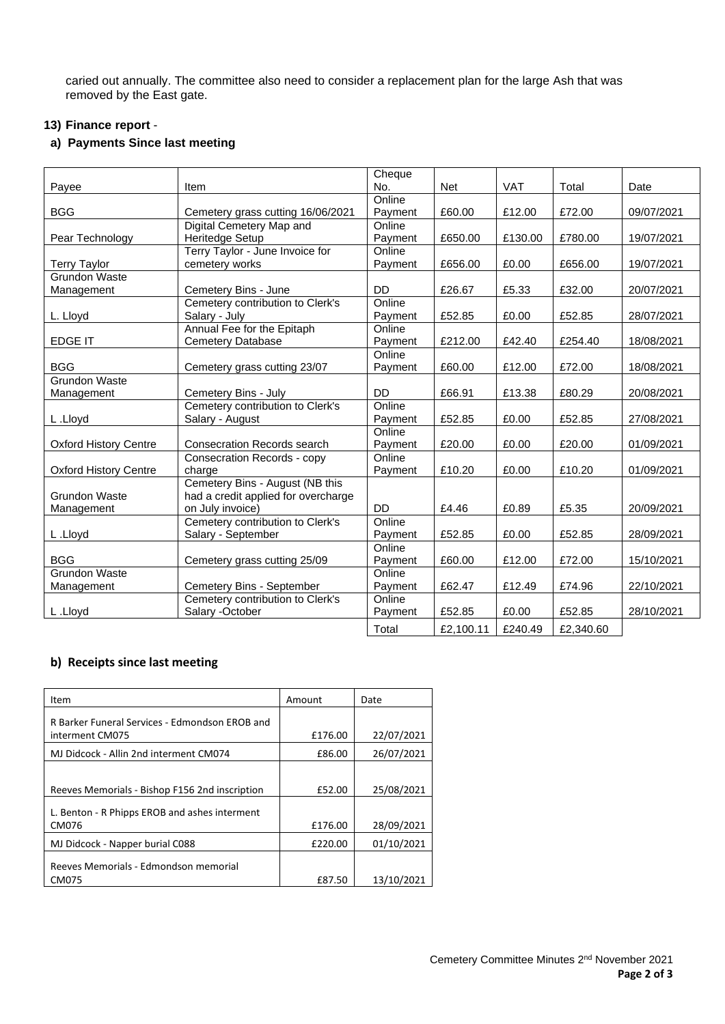caried out annually. The committee also need to consider a replacement plan for the large Ash that was removed by the East gate.

## **13) Finance report** -

# **a) Payments Since last meeting**

|                              |                                     | Cheque    |           |         |           |            |
|------------------------------|-------------------------------------|-----------|-----------|---------|-----------|------------|
| Payee                        | Item                                | No.       | Net       | VAT     | Total     | Date       |
|                              |                                     | Online    |           |         |           |            |
| <b>BGG</b>                   | Cemetery grass cutting 16/06/2021   | Payment   | £60.00    | £12.00  | £72.00    | 09/07/2021 |
|                              | Digital Cemetery Map and            | Online    |           |         |           |            |
| Pear Technology              | Heritedge Setup                     | Payment   | £650.00   | £130.00 | £780.00   | 19/07/2021 |
|                              | Terry Taylor - June Invoice for     | Online    |           |         |           |            |
| <b>Terry Taylor</b>          | cemetery works                      | Payment   | £656.00   | £0.00   | £656.00   | 19/07/2021 |
| Grundon Waste                |                                     |           |           |         |           |            |
| Management                   | Cemetery Bins - June                | <b>DD</b> | £26.67    | £5.33   | £32.00    | 20/07/2021 |
|                              | Cemetery contribution to Clerk's    | Online    |           |         |           |            |
| L. Lloyd                     | Salary - July                       | Payment   | £52.85    | £0.00   | £52.85    | 28/07/2021 |
|                              | Annual Fee for the Epitaph          | Online    |           |         |           |            |
| <b>EDGE IT</b>               | Cemetery Database                   | Payment   | £212.00   | £42.40  | £254.40   | 18/08/2021 |
|                              |                                     | Online    |           |         |           |            |
| <b>BGG</b>                   | Cemetery grass cutting 23/07        | Payment   | £60.00    | £12.00  | £72.00    | 18/08/2021 |
| Grundon Waste                |                                     |           |           |         |           |            |
| Management                   | Cemetery Bins - July                | <b>DD</b> | £66.91    | £13.38  | £80.29    | 20/08/2021 |
|                              | Cemetery contribution to Clerk's    | Online    |           |         |           |            |
| L.Lloyd                      | Salary - August                     | Payment   | £52.85    | £0.00   | £52.85    | 27/08/2021 |
|                              |                                     | Online    |           |         |           |            |
| Oxford History Centre        | <b>Consecration Records search</b>  | Payment   | £20.00    | £0.00   | £20.00    | 01/09/2021 |
|                              | <b>Consecration Records - copy</b>  | Online    |           |         |           |            |
| <b>Oxford History Centre</b> | charge                              | Payment   | £10.20    | £0.00   | £10.20    | 01/09/2021 |
|                              | Cemetery Bins - August (NB this     |           |           |         |           |            |
| Grundon Waste                | had a credit applied for overcharge |           |           |         |           |            |
| Management                   | on July invoice)                    | <b>DD</b> | £4.46     | £0.89   | £5.35     | 20/09/2021 |
|                              | Cemetery contribution to Clerk's    | Online    |           |         |           |            |
| L.Lloyd                      | Salary - September                  | Payment   | £52.85    | £0.00   | £52.85    | 28/09/2021 |
|                              |                                     | Online    |           |         |           |            |
| <b>BGG</b>                   | Cemetery grass cutting 25/09        | Payment   | £60.00    | £12.00  | £72.00    | 15/10/2021 |
| <b>Grundon Waste</b>         |                                     | Online    |           |         |           |            |
| Management                   | Cemetery Bins - September           | Payment   | £62.47    | £12.49  | £74.96    | 22/10/2021 |
|                              | Cemetery contribution to Clerk's    | Online    |           |         |           |            |
| L.Lloyd                      | Salary -October                     | Payment   | £52.85    | £0.00   | £52.85    | 28/10/2021 |
|                              |                                     | Total     | £2,100.11 | £240.49 | £2,340.60 |            |

## **b) Receipts since last meeting**

| Item                                                              | Amount  | Date       |
|-------------------------------------------------------------------|---------|------------|
| R Barker Funeral Services - Edmondson EROB and<br>interment CM075 | £176.00 | 22/07/2021 |
| MJ Didcock - Allin 2nd interment CM074                            | £86.00  | 26/07/2021 |
| Reeves Memorials - Bishop F156 2nd inscription                    | £52.00  | 25/08/2021 |
| L. Benton - R Phipps EROB and ashes interment<br>CM076            | £176.00 | 28/09/2021 |
| MJ Didcock - Napper burial C088                                   | £220.00 | 01/10/2021 |
| Reeves Memorials - Edmondson memorial<br>CM075                    | £87.50  | 13/10/2021 |